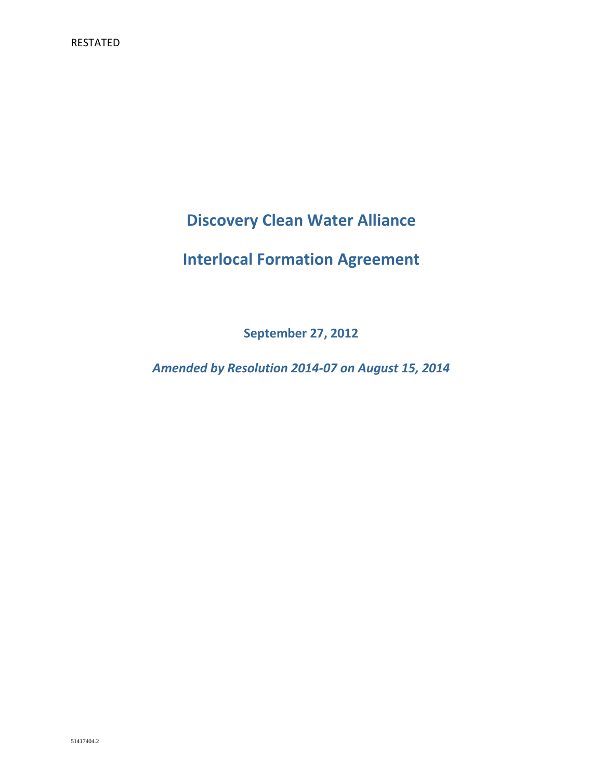**Discovery Clean Water Alliance**

# **Interlocal Formation Agreement**

**September 27, 2012**

*Amended by Resolution 2014-07 on August 15, 2014*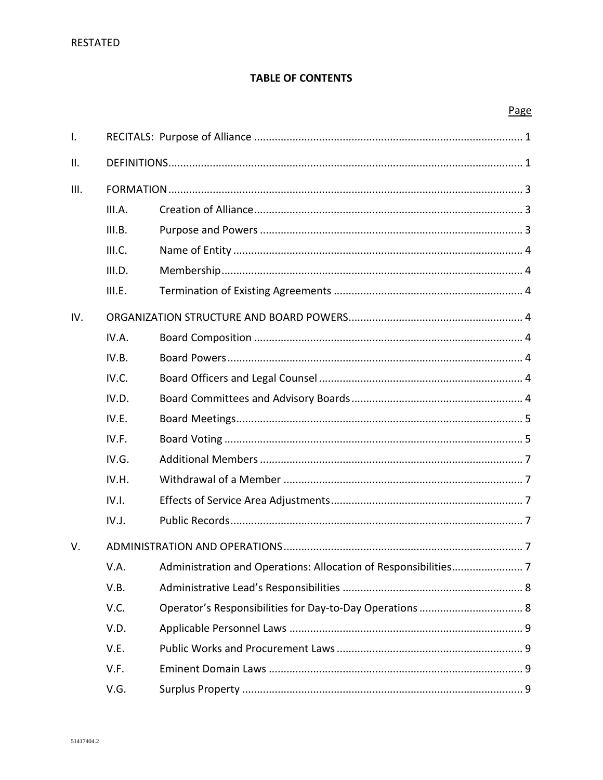# **TABLE OF CONTENTS**

# Page

| $\mathsf{I}$ . |        |  |  |  |  |
|----------------|--------|--|--|--|--|
| II.            |        |  |  |  |  |
|                |        |  |  |  |  |
| III.           |        |  |  |  |  |
|                | III.A. |  |  |  |  |
|                | III.B. |  |  |  |  |
|                | III.C. |  |  |  |  |
|                | III.D. |  |  |  |  |
|                | III.E. |  |  |  |  |
| IV.            |        |  |  |  |  |
|                | IV.A.  |  |  |  |  |
|                | IV.B.  |  |  |  |  |
|                | IV.C.  |  |  |  |  |
|                | IV.D.  |  |  |  |  |
|                | IV.E.  |  |  |  |  |
|                | IV.F.  |  |  |  |  |
|                | IV.G.  |  |  |  |  |
|                | IV.H.  |  |  |  |  |
|                | IV.I.  |  |  |  |  |
|                | IV.J.  |  |  |  |  |
| V.             |        |  |  |  |  |
|                | V.A.   |  |  |  |  |
|                | V.B.   |  |  |  |  |
|                | V.C.   |  |  |  |  |
|                | V.D.   |  |  |  |  |
|                | V.E.   |  |  |  |  |
|                | V.F.   |  |  |  |  |
|                | V.G.   |  |  |  |  |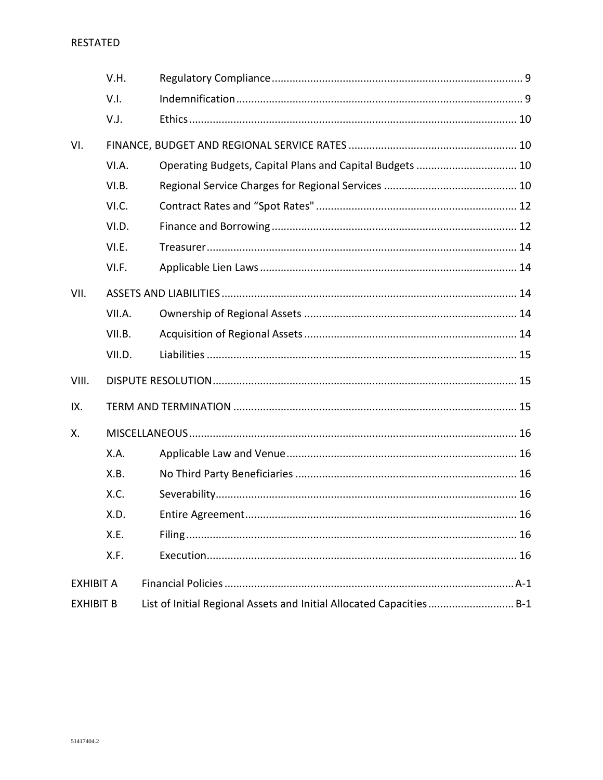## RESTATED

|                  | V.H.   |                                                                      |  |
|------------------|--------|----------------------------------------------------------------------|--|
|                  | V.I.   |                                                                      |  |
|                  | V.J.   |                                                                      |  |
| VI.              |        |                                                                      |  |
|                  | VI.A.  | Operating Budgets, Capital Plans and Capital Budgets  10             |  |
|                  | VI.B.  |                                                                      |  |
|                  | VI.C.  |                                                                      |  |
|                  | VI.D.  |                                                                      |  |
|                  | VI.E.  |                                                                      |  |
|                  | VI.F.  |                                                                      |  |
| VII.             |        |                                                                      |  |
|                  | VII.A. |                                                                      |  |
|                  | VII.B. |                                                                      |  |
|                  | VII.D. |                                                                      |  |
| VIII.            |        |                                                                      |  |
| IX.              |        |                                                                      |  |
| Χ.               |        |                                                                      |  |
|                  | X.A.   |                                                                      |  |
|                  | X.B.   |                                                                      |  |
|                  | X.C.   |                                                                      |  |
|                  | X.D.   |                                                                      |  |
|                  | X.E.   |                                                                      |  |
|                  | X.F.   |                                                                      |  |
| <b>EXHIBIT A</b> |        |                                                                      |  |
| <b>EXHIBIT B</b> |        | List of Initial Regional Assets and Initial Allocated Capacities B-1 |  |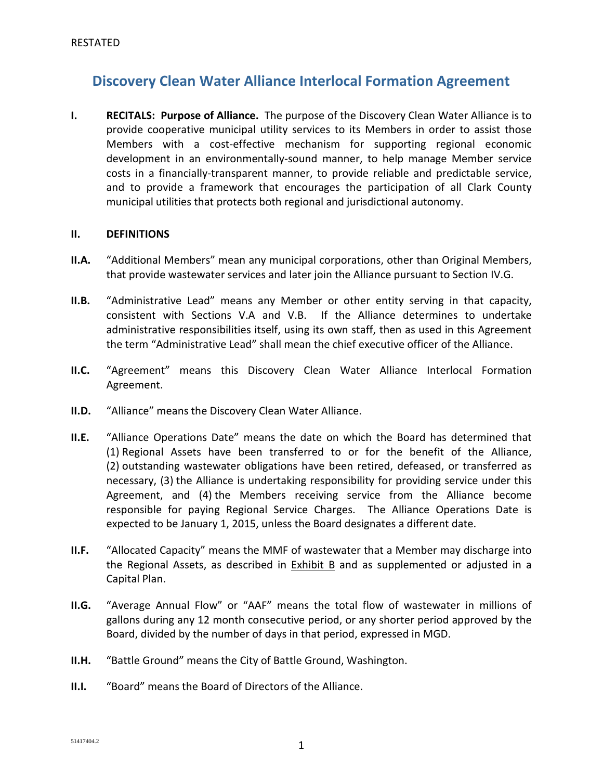# **Discovery Clean Water Alliance Interlocal Formation Agreement**

**I. RECITALS: Purpose of Alliance.** The purpose of the Discovery Clean Water Alliance is to provide cooperative municipal utility services to its Members in order to assist those Members with a cost-effective mechanism for supporting regional economic development in an environmentally-sound manner, to help manage Member service costs in a financially-transparent manner, to provide reliable and predictable service, and to provide a framework that encourages the participation of all Clark County municipal utilities that protects both regional and jurisdictional autonomy.

### **II. DEFINITIONS**

- **II.A.** "Additional Members" mean any municipal corporations, other than Original Members, that provide wastewater services and later join the Alliance pursuant to Section IV.G.
- **II.B.** "Administrative Lead" means any Member or other entity serving in that capacity, consistent with Sections V.A and V.B. If the Alliance determines to undertake administrative responsibilities itself, using its own staff, then as used in this Agreement the term "Administrative Lead" shall mean the chief executive officer of the Alliance.
- **II.C.** "Agreement" means this Discovery Clean Water Alliance Interlocal Formation Agreement.
- **II.D.** "Alliance" means the Discovery Clean Water Alliance.
- **II.E.** "Alliance Operations Date" means the date on which the Board has determined that (1) Regional Assets have been transferred to or for the benefit of the Alliance, (2) outstanding wastewater obligations have been retired, defeased, or transferred as necessary, (3) the Alliance is undertaking responsibility for providing service under this Agreement, and (4) the Members receiving service from the Alliance become responsible for paying Regional Service Charges. The Alliance Operations Date is expected to be January 1, 2015, unless the Board designates a different date.
- **II.F.** "Allocated Capacity" means the MMF of wastewater that a Member may discharge into the Regional Assets, as described in Exhibit B and as supplemented or adjusted in a Capital Plan.
- **II.G.** "Average Annual Flow" or "AAF" means the total flow of wastewater in millions of gallons during any 12 month consecutive period, or any shorter period approved by the Board, divided by the number of days in that period, expressed in MGD.
- **II.H.** "Battle Ground" means the City of Battle Ground, Washington.
- **II.I.** "Board" means the Board of Directors of the Alliance.

 $\frac{51417404.2}{\frac{1}{2}}$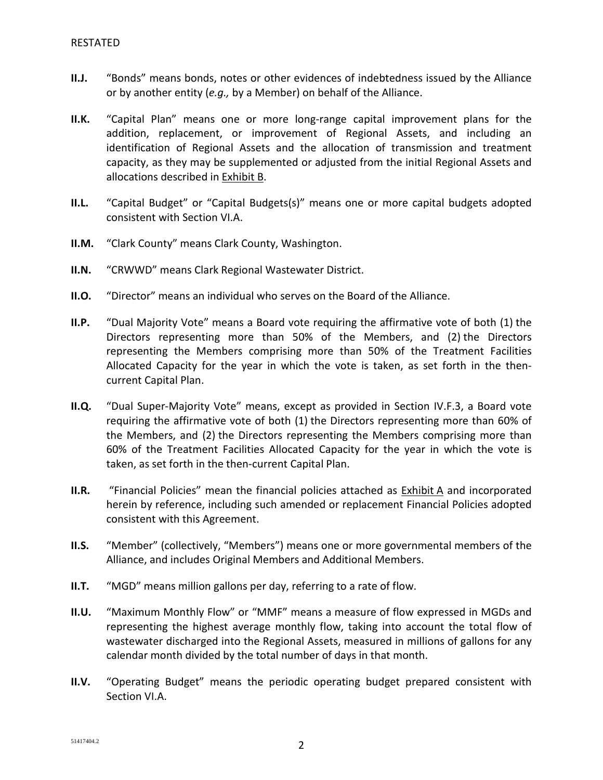- **II.J.** "Bonds" means bonds, notes or other evidences of indebtedness issued by the Alliance or by another entity (*e.g.,* by a Member) on behalf of the Alliance.
- **II.K.** "Capital Plan" means one or more long-range capital improvement plans for the addition, replacement, or improvement of Regional Assets, and including an identification of Regional Assets and the allocation of transmission and treatment capacity, as they may be supplemented or adjusted from the initial Regional Assets and allocations described in Exhibit B.
- **II.L.** "Capital Budget" or "Capital Budgets(s)" means one or more capital budgets adopted consistent with Section VI.A.
- **II.M.** "Clark County" means Clark County, Washington.
- **II.N.** "CRWWD" means Clark Regional Wastewater District.
- **II.O.** "Director" means an individual who serves on the Board of the Alliance.
- **II.P.** "Dual Majority Vote" means a Board vote requiring the affirmative vote of both (1) the Directors representing more than 50% of the Members, and (2) the Directors representing the Members comprising more than 50% of the Treatment Facilities Allocated Capacity for the year in which the vote is taken, as set forth in the thencurrent Capital Plan.
- **II.Q.** "Dual Super-Majority Vote" means, except as provided in Section IV.F.3, a Board vote requiring the affirmative vote of both (1) the Directors representing more than 60% of the Members, and (2) the Directors representing the Members comprising more than 60% of the Treatment Facilities Allocated Capacity for the year in which the vote is taken, as set forth in the then-current Capital Plan.
- **II.R.** "Financial Policies" mean the financial policies attached as Exhibit A and incorporated herein by reference, including such amended or replacement Financial Policies adopted consistent with this Agreement.
- **II.S.** "Member" (collectively, "Members") means one or more governmental members of the Alliance, and includes Original Members and Additional Members.
- **II.T.** "MGD" means million gallons per day, referring to a rate of flow.
- **II.U.** "Maximum Monthly Flow" or "MMF" means a measure of flow expressed in MGDs and representing the highest average monthly flow, taking into account the total flow of wastewater discharged into the Regional Assets, measured in millions of gallons for any calendar month divided by the total number of days in that month.
- **II.V.** "Operating Budget" means the periodic operating budget prepared consistent with Section VI.A.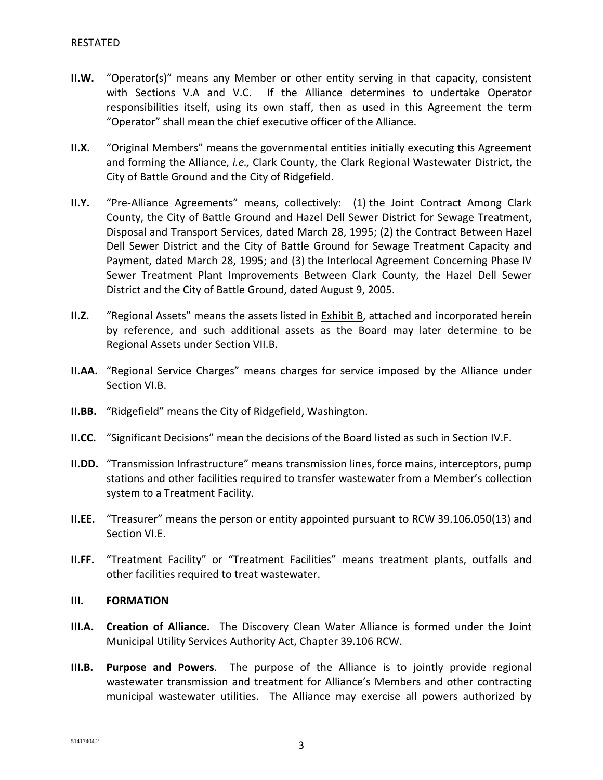- **II.W.** "Operator(s)" means any Member or other entity serving in that capacity, consistent with Sections V.A and V.C. If the Alliance determines to undertake Operator responsibilities itself, using its own staff, then as used in this Agreement the term "Operator" shall mean the chief executive officer of the Alliance.
- **II.X.** "Original Members" means the governmental entities initially executing this Agreement and forming the Alliance, *i.e.,* Clark County, the Clark Regional Wastewater District, the City of Battle Ground and the City of Ridgefield.
- **II.Y.** "Pre-Alliance Agreements" means, collectively: (1) the Joint Contract Among Clark County, the City of Battle Ground and Hazel Dell Sewer District for Sewage Treatment, Disposal and Transport Services, dated March 28, 1995; (2) the Contract Between Hazel Dell Sewer District and the City of Battle Ground for Sewage Treatment Capacity and Payment, dated March 28, 1995; and (3) the Interlocal Agreement Concerning Phase IV Sewer Treatment Plant Improvements Between Clark County, the Hazel Dell Sewer District and the City of Battle Ground, dated August 9, 2005.
- **II.Z.** "Regional Assets" means the assets listed in Exhibit B, attached and incorporated herein by reference, and such additional assets as the Board may later determine to be Regional Assets under Section VII.B.
- **II.AA.** "Regional Service Charges" means charges for service imposed by the Alliance under Section VI.B.
- **II.BB.** "Ridgefield" means the City of Ridgefield, Washington.
- **II.CC.** "Significant Decisions" mean the decisions of the Board listed as such in Section IV.F.
- **II.DD.** "Transmission Infrastructure" means transmission lines, force mains, interceptors, pump stations and other facilities required to transfer wastewater from a Member's collection system to a Treatment Facility.
- **II.EE.** "Treasurer" means the person or entity appointed pursuant to RCW 39.106.050(13) and Section VI.E.
- **II.FF.** "Treatment Facility" or "Treatment Facilities" means treatment plants, outfalls and other facilities required to treat wastewater.

### **III. FORMATION**

- **III.A. Creation of Alliance.** The Discovery Clean Water Alliance is formed under the Joint Municipal Utility Services Authority Act, Chapter 39.106 RCW.
- **III.B. Purpose and Powers**. The purpose of the Alliance is to jointly provide regional wastewater transmission and treatment for Alliance's Members and other contracting municipal wastewater utilities. The Alliance may exercise all powers authorized by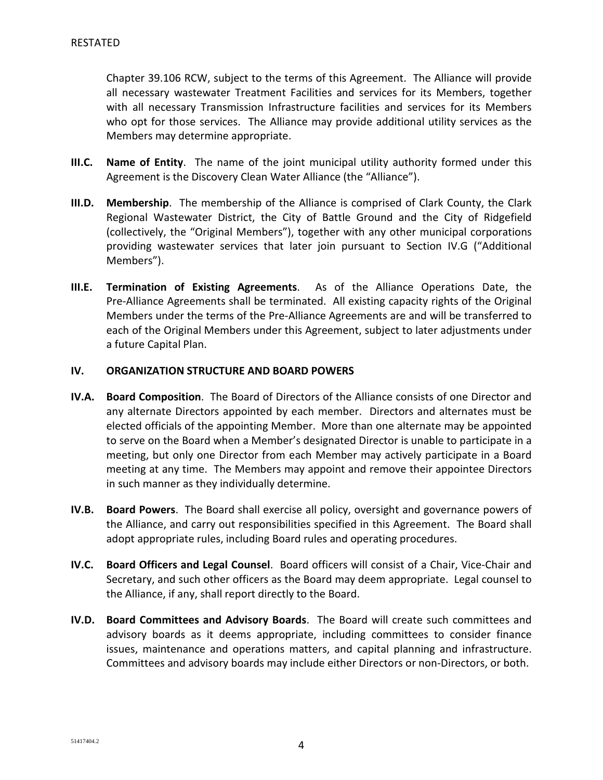Chapter 39.106 RCW, subject to the terms of this Agreement. The Alliance will provide all necessary wastewater Treatment Facilities and services for its Members, together with all necessary Transmission Infrastructure facilities and services for its Members who opt for those services. The Alliance may provide additional utility services as the Members may determine appropriate.

- **III.C. Name of Entity**. The name of the joint municipal utility authority formed under this Agreement is the Discovery Clean Water Alliance (the "Alliance").
- **III.D. Membership**. The membership of the Alliance is comprised of Clark County, the Clark Regional Wastewater District, the City of Battle Ground and the City of Ridgefield (collectively, the "Original Members"), together with any other municipal corporations providing wastewater services that later join pursuant to Section IV.G ("Additional Members").
- **III.E. Termination of Existing Agreements**. As of the Alliance Operations Date, the Pre-Alliance Agreements shall be terminated. All existing capacity rights of the Original Members under the terms of the Pre-Alliance Agreements are and will be transferred to each of the Original Members under this Agreement, subject to later adjustments under a future Capital Plan.

## **IV. ORGANIZATION STRUCTURE AND BOARD POWERS**

- **IV.A. Board Composition**. The Board of Directors of the Alliance consists of one Director and any alternate Directors appointed by each member. Directors and alternates must be elected officials of the appointing Member. More than one alternate may be appointed to serve on the Board when a Member's designated Director is unable to participate in a meeting, but only one Director from each Member may actively participate in a Board meeting at any time. The Members may appoint and remove their appointee Directors in such manner as they individually determine.
- **IV.B. Board Powers**. The Board shall exercise all policy, oversight and governance powers of the Alliance, and carry out responsibilities specified in this Agreement. The Board shall adopt appropriate rules, including Board rules and operating procedures.
- **IV.C. Board Officers and Legal Counsel**. Board officers will consist of a Chair, Vice-Chair and Secretary, and such other officers as the Board may deem appropriate. Legal counsel to the Alliance, if any, shall report directly to the Board.
- **IV.D. Board Committees and Advisory Boards**. The Board will create such committees and advisory boards as it deems appropriate, including committees to consider finance issues, maintenance and operations matters, and capital planning and infrastructure. Committees and advisory boards may include either Directors or non-Directors, or both.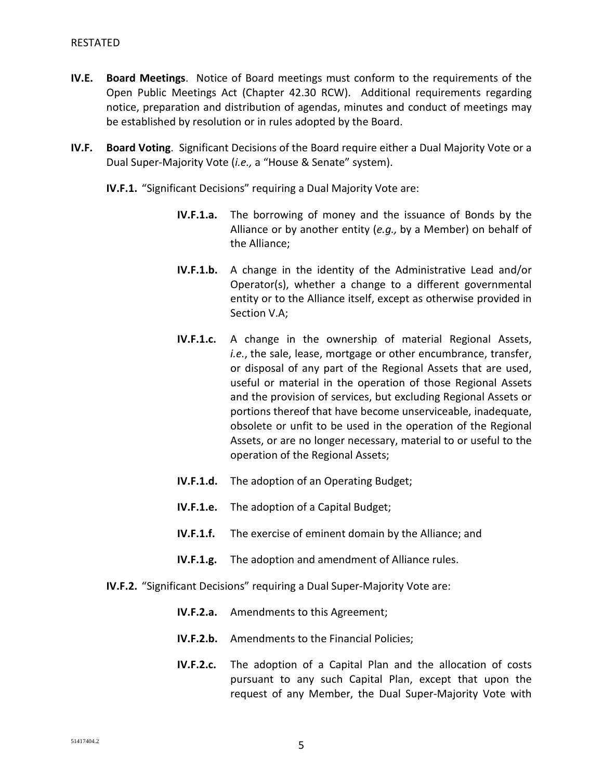- **IV.E. Board Meetings**. Notice of Board meetings must conform to the requirements of the Open Public Meetings Act (Chapter 42.30 RCW). Additional requirements regarding notice, preparation and distribution of agendas, minutes and conduct of meetings may be established by resolution or in rules adopted by the Board.
- **IV.F. Board Voting**. Significant Decisions of the Board require either a Dual Majority Vote or a Dual Super-Majority Vote (*i.e.,* a "House & Senate" system).
	- **IV.F.1.** "Significant Decisions" requiring a Dual Majority Vote are:
		- **IV.F.1.a.** The borrowing of money and the issuance of Bonds by the Alliance or by another entity (*e.g.,* by a Member) on behalf of the Alliance;
		- **IV.F.1.b.** A change in the identity of the Administrative Lead and/or Operator(s), whether a change to a different governmental entity or to the Alliance itself, except as otherwise provided in Section V.A;
		- **IV.F.1.c.** A change in the ownership of material Regional Assets, *i.e.*, the sale, lease, mortgage or other encumbrance, transfer, or disposal of any part of the Regional Assets that are used, useful or material in the operation of those Regional Assets and the provision of services, but excluding Regional Assets or portions thereof that have become unserviceable, inadequate, obsolete or unfit to be used in the operation of the Regional Assets, or are no longer necessary, material to or useful to the operation of the Regional Assets;
		- **IV.F.1.d.** The adoption of an Operating Budget;
		- **IV.F.1.e.** The adoption of a Capital Budget;
		- **IV.F.1.f.** The exercise of eminent domain by the Alliance; and
		- **IV.F.1.g.** The adoption and amendment of Alliance rules.
	- **IV.F.2.** "Significant Decisions" requiring a Dual Super-Majority Vote are:
		- **IV.F.2.a.** Amendments to this Agreement;
		- **IV.F.2.b.** Amendments to the Financial Policies;
		- **IV.F.2.c.** The adoption of a Capital Plan and the allocation of costs pursuant to any such Capital Plan, except that upon the request of any Member, the Dual Super-Majority Vote with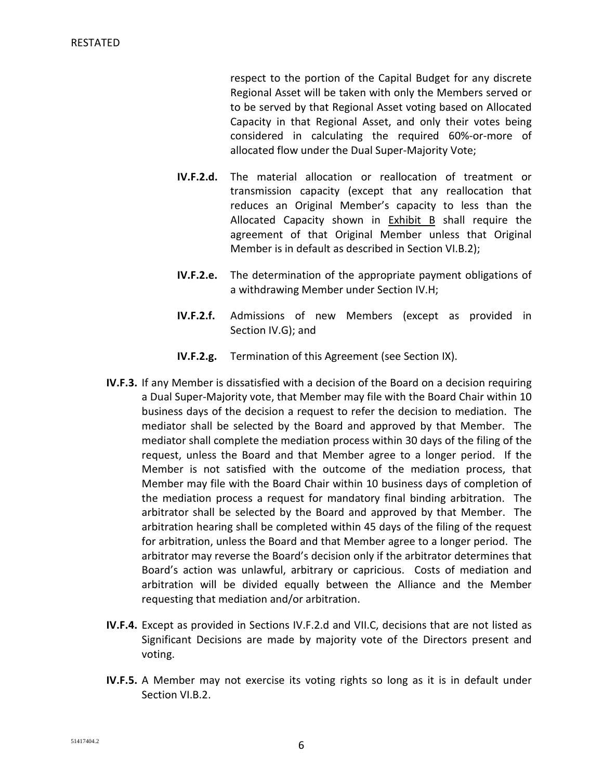respect to the portion of the Capital Budget for any discrete Regional Asset will be taken with only the Members served or to be served by that Regional Asset voting based on Allocated Capacity in that Regional Asset, and only their votes being considered in calculating the required 60%-or-more of allocated flow under the Dual Super-Majority Vote;

- **IV.F.2.d.** The material allocation or reallocation of treatment or transmission capacity (except that any reallocation that reduces an Original Member's capacity to less than the Allocated Capacity shown in Exhibit B shall require the agreement of that Original Member unless that Original Member is in default as described in Section VI.B.2);
- **IV.F.2.e.** The determination of the appropriate payment obligations of a withdrawing Member under Section IV.H;
- **IV.F.2.f.** Admissions of new Members (except as provided in Section IV.G); and
- **IV.F.2.g.** Termination of this Agreement (see Section IX).
- **IV.F.3.** If any Member is dissatisfied with a decision of the Board on a decision requiring a Dual Super-Majority vote, that Member may file with the Board Chair within 10 business days of the decision a request to refer the decision to mediation. The mediator shall be selected by the Board and approved by that Member. The mediator shall complete the mediation process within 30 days of the filing of the request, unless the Board and that Member agree to a longer period. If the Member is not satisfied with the outcome of the mediation process, that Member may file with the Board Chair within 10 business days of completion of the mediation process a request for mandatory final binding arbitration. The arbitrator shall be selected by the Board and approved by that Member. The arbitration hearing shall be completed within 45 days of the filing of the request for arbitration, unless the Board and that Member agree to a longer period. The arbitrator may reverse the Board's decision only if the arbitrator determines that Board's action was unlawful, arbitrary or capricious. Costs of mediation and arbitration will be divided equally between the Alliance and the Member requesting that mediation and/or arbitration.
- **IV.F.4.** Except as provided in Sections IV.F.2.d and VII.C, decisions that are not listed as Significant Decisions are made by majority vote of the Directors present and voting.
- **IV.F.5.** A Member may not exercise its voting rights so long as it is in default under Section VI.B.2.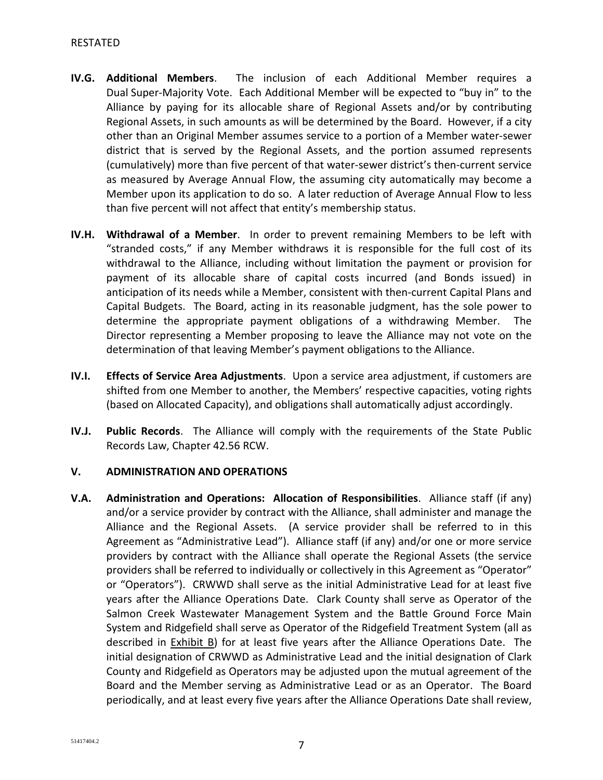- **IV.G. Additional Members**. The inclusion of each Additional Member requires a Dual Super-Majority Vote. Each Additional Member will be expected to "buy in" to the Alliance by paying for its allocable share of Regional Assets and/or by contributing Regional Assets, in such amounts as will be determined by the Board. However, if a city other than an Original Member assumes service to a portion of a Member water-sewer district that is served by the Regional Assets, and the portion assumed represents (cumulatively) more than five percent of that water-sewer district's then-current service as measured by Average Annual Flow, the assuming city automatically may become a Member upon its application to do so. A later reduction of Average Annual Flow to less than five percent will not affect that entity's membership status.
- **IV.H. Withdrawal of a Member**. In order to prevent remaining Members to be left with "stranded costs," if any Member withdraws it is responsible for the full cost of its withdrawal to the Alliance, including without limitation the payment or provision for payment of its allocable share of capital costs incurred (and Bonds issued) in anticipation of its needs while a Member, consistent with then-current Capital Plans and Capital Budgets. The Board, acting in its reasonable judgment, has the sole power to determine the appropriate payment obligations of a withdrawing Member. The Director representing a Member proposing to leave the Alliance may not vote on the determination of that leaving Member's payment obligations to the Alliance.
- **IV.I. Effects of Service Area Adjustments**. Upon a service area adjustment, if customers are shifted from one Member to another, the Members' respective capacities, voting rights (based on Allocated Capacity), and obligations shall automatically adjust accordingly.
- **IV.J. Public Records**. The Alliance will comply with the requirements of the State Public Records Law, Chapter 42.56 RCW.

# **V. ADMINISTRATION AND OPERATIONS**

**V.A. Administration and Operations: Allocation of Responsibilities**. Alliance staff (if any) and/or a service provider by contract with the Alliance, shall administer and manage the Alliance and the Regional Assets. (A service provider shall be referred to in this Agreement as "Administrative Lead"). Alliance staff (if any) and/or one or more service providers by contract with the Alliance shall operate the Regional Assets (the service providers shall be referred to individually or collectively in this Agreement as "Operator" or "Operators"). CRWWD shall serve as the initial Administrative Lead for at least five years after the Alliance Operations Date. Clark County shall serve as Operator of the Salmon Creek Wastewater Management System and the Battle Ground Force Main System and Ridgefield shall serve as Operator of the Ridgefield Treatment System (all as described in **Exhibit B**) for at least five years after the Alliance Operations Date. The initial designation of CRWWD as Administrative Lead and the initial designation of Clark County and Ridgefield as Operators may be adjusted upon the mutual agreement of the Board and the Member serving as Administrative Lead or as an Operator. The Board periodically, and at least every five years after the Alliance Operations Date shall review,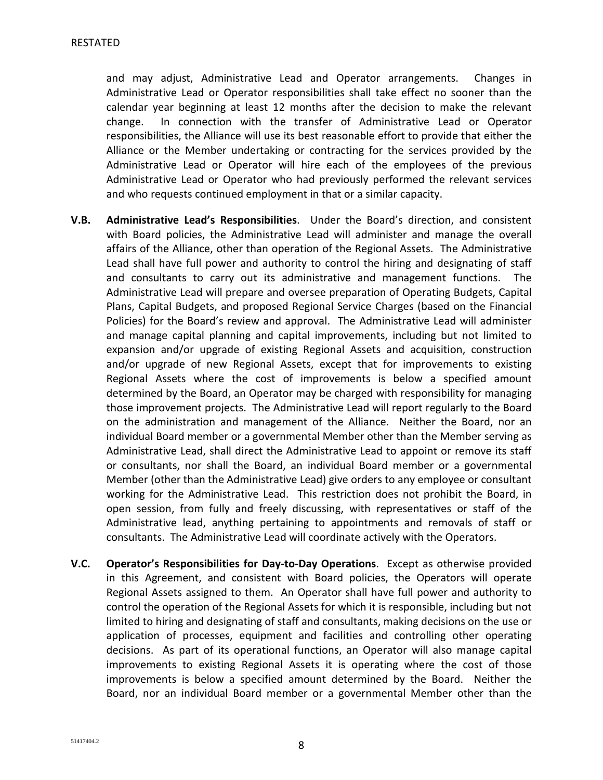and may adjust, Administrative Lead and Operator arrangements. Changes in Administrative Lead or Operator responsibilities shall take effect no sooner than the calendar year beginning at least 12 months after the decision to make the relevant change. In connection with the transfer of Administrative Lead or Operator responsibilities, the Alliance will use its best reasonable effort to provide that either the Alliance or the Member undertaking or contracting for the services provided by the Administrative Lead or Operator will hire each of the employees of the previous Administrative Lead or Operator who had previously performed the relevant services and who requests continued employment in that or a similar capacity.

- **V.B. Administrative Lead's Responsibilities**. Under the Board's direction, and consistent with Board policies, the Administrative Lead will administer and manage the overall affairs of the Alliance, other than operation of the Regional Assets. The Administrative Lead shall have full power and authority to control the hiring and designating of staff and consultants to carry out its administrative and management functions. The Administrative Lead will prepare and oversee preparation of Operating Budgets, Capital Plans, Capital Budgets, and proposed Regional Service Charges (based on the Financial Policies) for the Board's review and approval. The Administrative Lead will administer and manage capital planning and capital improvements, including but not limited to expansion and/or upgrade of existing Regional Assets and acquisition, construction and/or upgrade of new Regional Assets, except that for improvements to existing Regional Assets where the cost of improvements is below a specified amount determined by the Board, an Operator may be charged with responsibility for managing those improvement projects. The Administrative Lead will report regularly to the Board on the administration and management of the Alliance. Neither the Board, nor an individual Board member or a governmental Member other than the Member serving as Administrative Lead, shall direct the Administrative Lead to appoint or remove its staff or consultants, nor shall the Board, an individual Board member or a governmental Member (other than the Administrative Lead) give orders to any employee or consultant working for the Administrative Lead. This restriction does not prohibit the Board, in open session, from fully and freely discussing, with representatives or staff of the Administrative lead, anything pertaining to appointments and removals of staff or consultants. The Administrative Lead will coordinate actively with the Operators.
- **V.C. Operator's Responsibilities for Day-to-Day Operations**. Except as otherwise provided in this Agreement, and consistent with Board policies, the Operators will operate Regional Assets assigned to them. An Operator shall have full power and authority to control the operation of the Regional Assets for which it is responsible, including but not limited to hiring and designating of staff and consultants, making decisions on the use or application of processes, equipment and facilities and controlling other operating decisions. As part of its operational functions, an Operator will also manage capital improvements to existing Regional Assets it is operating where the cost of those improvements is below a specified amount determined by the Board. Neither the Board, nor an individual Board member or a governmental Member other than the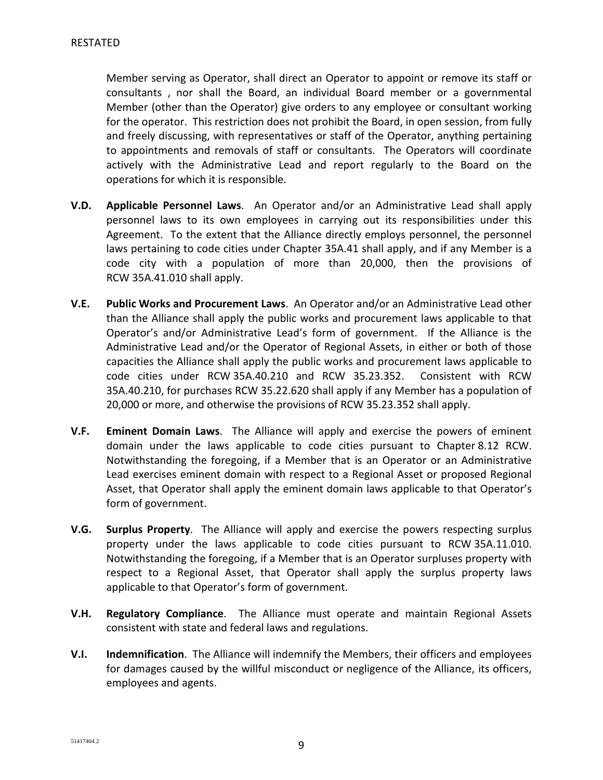Member serving as Operator, shall direct an Operator to appoint or remove its staff or consultants , nor shall the Board, an individual Board member or a governmental Member (other than the Operator) give orders to any employee or consultant working for the operator. This restriction does not prohibit the Board, in open session, from fully and freely discussing, with representatives or staff of the Operator, anything pertaining to appointments and removals of staff or consultants. The Operators will coordinate actively with the Administrative Lead and report regularly to the Board on the operations for which it is responsible.

- **V.D. Applicable Personnel Laws**. An Operator and/or an Administrative Lead shall apply personnel laws to its own employees in carrying out its responsibilities under this Agreement. To the extent that the Alliance directly employs personnel, the personnel laws pertaining to code cities under Chapter 35A.41 shall apply, and if any Member is a code city with a population of more than 20,000, then the provisions of RCW 35A.41.010 shall apply.
- **V.E. Public Works and Procurement Laws**. An Operator and/or an Administrative Lead other than the Alliance shall apply the public works and procurement laws applicable to that Operator's and/or Administrative Lead's form of government. If the Alliance is the Administrative Lead and/or the Operator of Regional Assets, in either or both of those capacities the Alliance shall apply the public works and procurement laws applicable to code cities under RCW 35A.40.210 and RCW 35.23.352. Consistent with RCW 35A.40.210, for purchases RCW 35.22.620 shall apply if any Member has a population of 20,000 or more, and otherwise the provisions of RCW 35.23.352 shall apply.
- **V.F. Eminent Domain Laws**. The Alliance will apply and exercise the powers of eminent domain under the laws applicable to code cities pursuant to Chapter 8.12 RCW. Notwithstanding the foregoing, if a Member that is an Operator or an Administrative Lead exercises eminent domain with respect to a Regional Asset or proposed Regional Asset, that Operator shall apply the eminent domain laws applicable to that Operator's form of government.
- **V.G. Surplus Property**. The Alliance will apply and exercise the powers respecting surplus property under the laws applicable to code cities pursuant to RCW 35A.11.010. Notwithstanding the foregoing, if a Member that is an Operator surpluses property with respect to a Regional Asset, that Operator shall apply the surplus property laws applicable to that Operator's form of government.
- **V.H. Regulatory Compliance**. The Alliance must operate and maintain Regional Assets consistent with state and federal laws and regulations.
- **V.I. Indemnification**. The Alliance will indemnify the Members, their officers and employees for damages caused by the willful misconduct or negligence of the Alliance, its officers, employees and agents.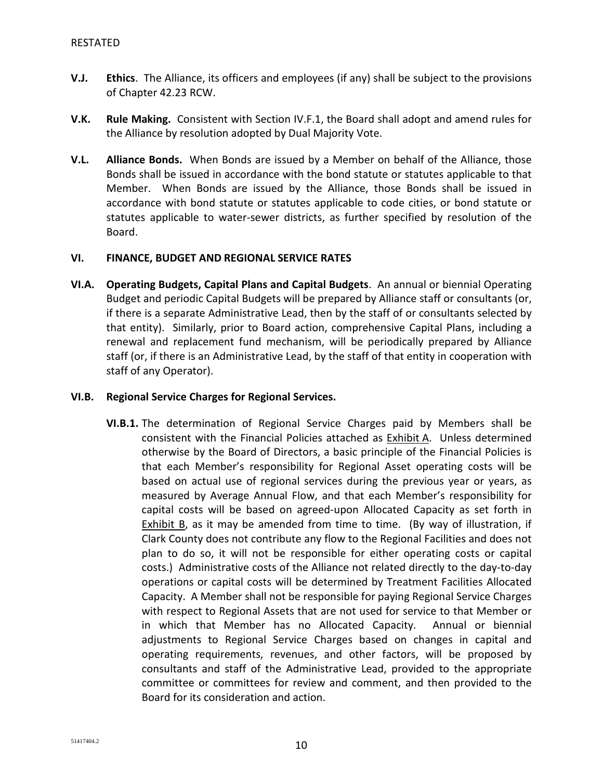- **V.J. Ethics**. The Alliance, its officers and employees (if any) shall be subject to the provisions of Chapter 42.23 RCW.
- **V.K. Rule Making.** Consistent with Section IV.F.1, the Board shall adopt and amend rules for the Alliance by resolution adopted by Dual Majority Vote.
- **V.L. Alliance Bonds.** When Bonds are issued by a Member on behalf of the Alliance, those Bonds shall be issued in accordance with the bond statute or statutes applicable to that Member. When Bonds are issued by the Alliance, those Bonds shall be issued in accordance with bond statute or statutes applicable to code cities, or bond statute or statutes applicable to water-sewer districts, as further specified by resolution of the Board.

## **VI. FINANCE, BUDGET AND REGIONAL SERVICE RATES**

**VI.A. Operating Budgets, Capital Plans and Capital Budgets**. An annual or biennial Operating Budget and periodic Capital Budgets will be prepared by Alliance staff or consultants (or, if there is a separate Administrative Lead, then by the staff of or consultants selected by that entity). Similarly, prior to Board action, comprehensive Capital Plans, including a renewal and replacement fund mechanism, will be periodically prepared by Alliance staff (or, if there is an Administrative Lead, by the staff of that entity in cooperation with staff of any Operator).

# **VI.B. Regional Service Charges for Regional Services.**

**VI.B.1.** The determination of Regional Service Charges paid by Members shall be consistent with the Financial Policies attached as Exhibit A. Unless determined otherwise by the Board of Directors, a basic principle of the Financial Policies is that each Member's responsibility for Regional Asset operating costs will be based on actual use of regional services during the previous year or years, as measured by Average Annual Flow, and that each Member's responsibility for capital costs will be based on agreed-upon Allocated Capacity as set forth in Exhibit B, as it may be amended from time to time. (By way of illustration, if Clark County does not contribute any flow to the Regional Facilities and does not plan to do so, it will not be responsible for either operating costs or capital costs.) Administrative costs of the Alliance not related directly to the day-to-day operations or capital costs will be determined by Treatment Facilities Allocated Capacity. A Member shall not be responsible for paying Regional Service Charges with respect to Regional Assets that are not used for service to that Member or in which that Member has no Allocated Capacity. Annual or biennial adjustments to Regional Service Charges based on changes in capital and operating requirements, revenues, and other factors, will be proposed by consultants and staff of the Administrative Lead, provided to the appropriate committee or committees for review and comment, and then provided to the Board for its consideration and action.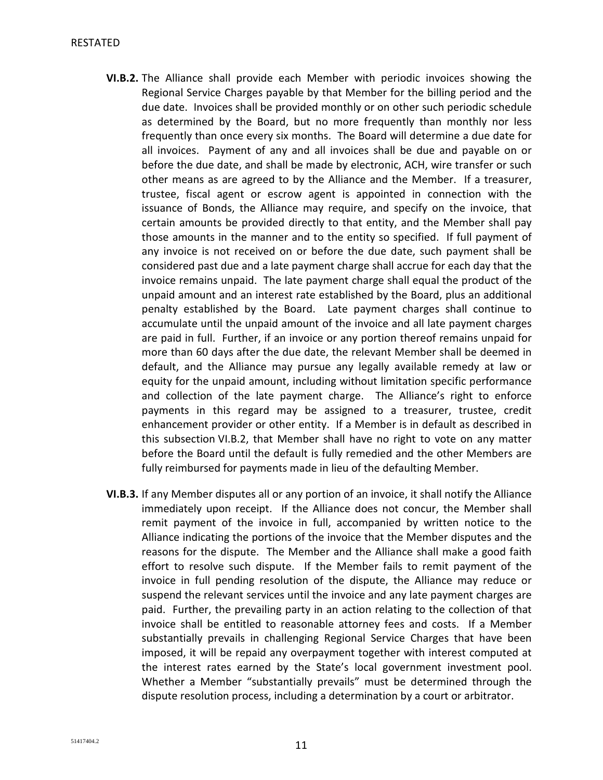- **VI.B.2.** The Alliance shall provide each Member with periodic invoices showing the Regional Service Charges payable by that Member for the billing period and the due date. Invoices shall be provided monthly or on other such periodic schedule as determined by the Board, but no more frequently than monthly nor less frequently than once every six months. The Board will determine a due date for all invoices. Payment of any and all invoices shall be due and payable on or before the due date, and shall be made by electronic, ACH, wire transfer or such other means as are agreed to by the Alliance and the Member. If a treasurer, trustee, fiscal agent or escrow agent is appointed in connection with the issuance of Bonds, the Alliance may require, and specify on the invoice, that certain amounts be provided directly to that entity, and the Member shall pay those amounts in the manner and to the entity so specified. If full payment of any invoice is not received on or before the due date, such payment shall be considered past due and a late payment charge shall accrue for each day that the invoice remains unpaid. The late payment charge shall equal the product of the unpaid amount and an interest rate established by the Board, plus an additional penalty established by the Board. Late payment charges shall continue to accumulate until the unpaid amount of the invoice and all late payment charges are paid in full. Further, if an invoice or any portion thereof remains unpaid for more than 60 days after the due date, the relevant Member shall be deemed in default, and the Alliance may pursue any legally available remedy at law or equity for the unpaid amount, including without limitation specific performance and collection of the late payment charge. The Alliance's right to enforce payments in this regard may be assigned to a treasurer, trustee, credit enhancement provider or other entity. If a Member is in default as described in this subsection VI.B.2, that Member shall have no right to vote on any matter before the Board until the default is fully remedied and the other Members are fully reimbursed for payments made in lieu of the defaulting Member.
- **VI.B.3.** If any Member disputes all or any portion of an invoice, it shall notify the Alliance immediately upon receipt. If the Alliance does not concur, the Member shall remit payment of the invoice in full, accompanied by written notice to the Alliance indicating the portions of the invoice that the Member disputes and the reasons for the dispute. The Member and the Alliance shall make a good faith effort to resolve such dispute. If the Member fails to remit payment of the invoice in full pending resolution of the dispute, the Alliance may reduce or suspend the relevant services until the invoice and any late payment charges are paid. Further, the prevailing party in an action relating to the collection of that invoice shall be entitled to reasonable attorney fees and costs. If a Member substantially prevails in challenging Regional Service Charges that have been imposed, it will be repaid any overpayment together with interest computed at the interest rates earned by the State's local government investment pool. Whether a Member "substantially prevails" must be determined through the dispute resolution process, including a determination by a court or arbitrator.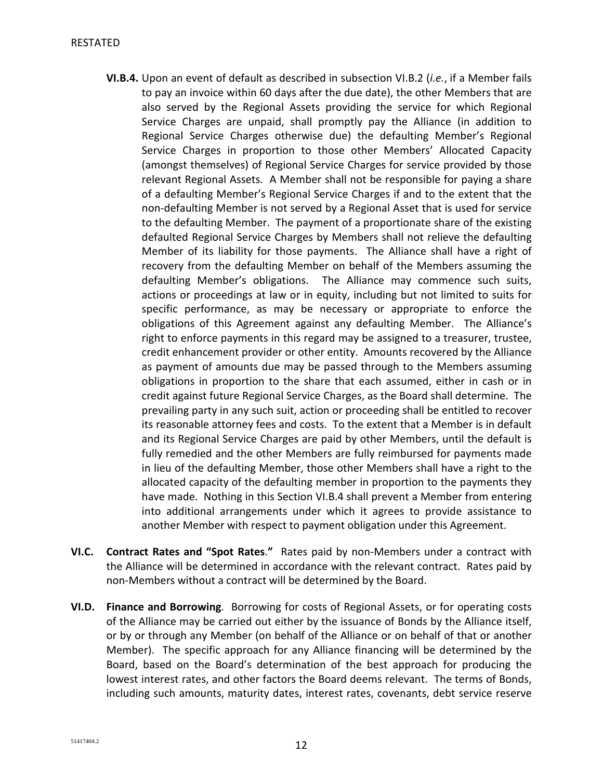- **VI.B.4.** Upon an event of default as described in subsection VI.B.2 (*i.e.*, if a Member fails to pay an invoice within 60 days after the due date), the other Members that are also served by the Regional Assets providing the service for which Regional Service Charges are unpaid, shall promptly pay the Alliance (in addition to Regional Service Charges otherwise due) the defaulting Member's Regional Service Charges in proportion to those other Members' Allocated Capacity (amongst themselves) of Regional Service Charges for service provided by those relevant Regional Assets. A Member shall not be responsible for paying a share of a defaulting Member's Regional Service Charges if and to the extent that the non-defaulting Member is not served by a Regional Asset that is used for service to the defaulting Member. The payment of a proportionate share of the existing defaulted Regional Service Charges by Members shall not relieve the defaulting Member of its liability for those payments. The Alliance shall have a right of recovery from the defaulting Member on behalf of the Members assuming the defaulting Member's obligations. The Alliance may commence such suits, actions or proceedings at law or in equity, including but not limited to suits for specific performance, as may be necessary or appropriate to enforce the obligations of this Agreement against any defaulting Member. The Alliance's right to enforce payments in this regard may be assigned to a treasurer, trustee, credit enhancement provider or other entity. Amounts recovered by the Alliance as payment of amounts due may be passed through to the Members assuming obligations in proportion to the share that each assumed, either in cash or in credit against future Regional Service Charges, as the Board shall determine. The prevailing party in any such suit, action or proceeding shall be entitled to recover its reasonable attorney fees and costs. To the extent that a Member is in default and its Regional Service Charges are paid by other Members, until the default is fully remedied and the other Members are fully reimbursed for payments made in lieu of the defaulting Member, those other Members shall have a right to the allocated capacity of the defaulting member in proportion to the payments they have made. Nothing in this Section VI.B.4 shall prevent a Member from entering into additional arrangements under which it agrees to provide assistance to another Member with respect to payment obligation under this Agreement.
- **VI.C. Contract Rates and "Spot Rates**.**"** Rates paid by non-Members under a contract with the Alliance will be determined in accordance with the relevant contract. Rates paid by non-Members without a contract will be determined by the Board.
- **VI.D. Finance and Borrowing**. Borrowing for costs of Regional Assets, or for operating costs of the Alliance may be carried out either by the issuance of Bonds by the Alliance itself, or by or through any Member (on behalf of the Alliance or on behalf of that or another Member). The specific approach for any Alliance financing will be determined by the Board, based on the Board's determination of the best approach for producing the lowest interest rates, and other factors the Board deems relevant. The terms of Bonds, including such amounts, maturity dates, interest rates, covenants, debt service reserve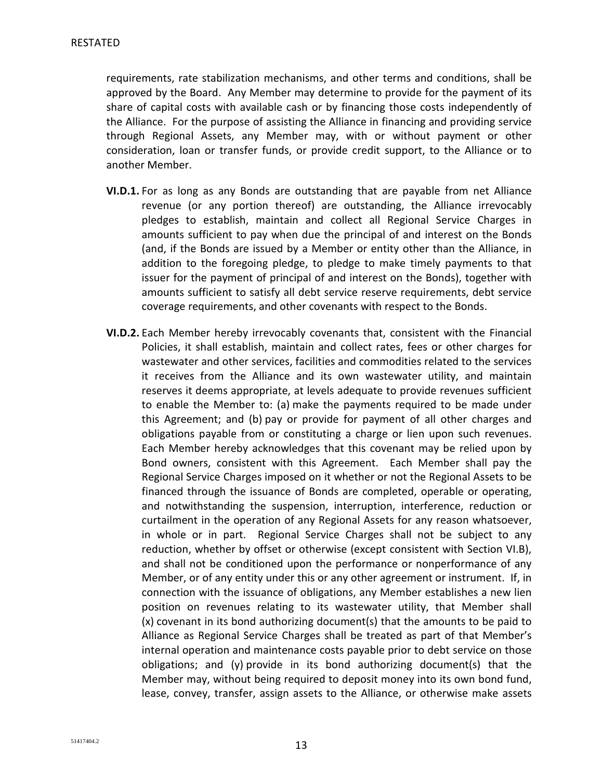requirements, rate stabilization mechanisms, and other terms and conditions, shall be approved by the Board. Any Member may determine to provide for the payment of its share of capital costs with available cash or by financing those costs independently of the Alliance. For the purpose of assisting the Alliance in financing and providing service through Regional Assets, any Member may, with or without payment or other consideration, loan or transfer funds, or provide credit support, to the Alliance or to another Member.

- **VI.D.1.** For as long as any Bonds are outstanding that are payable from net Alliance revenue (or any portion thereof) are outstanding, the Alliance irrevocably pledges to establish, maintain and collect all Regional Service Charges in amounts sufficient to pay when due the principal of and interest on the Bonds (and, if the Bonds are issued by a Member or entity other than the Alliance, in addition to the foregoing pledge, to pledge to make timely payments to that issuer for the payment of principal of and interest on the Bonds), together with amounts sufficient to satisfy all debt service reserve requirements, debt service coverage requirements, and other covenants with respect to the Bonds.
- **VI.D.2.** Each Member hereby irrevocably covenants that, consistent with the Financial Policies, it shall establish, maintain and collect rates, fees or other charges for wastewater and other services, facilities and commodities related to the services it receives from the Alliance and its own wastewater utility, and maintain reserves it deems appropriate, at levels adequate to provide revenues sufficient to enable the Member to: (a) make the payments required to be made under this Agreement; and (b) pay or provide for payment of all other charges and obligations payable from or constituting a charge or lien upon such revenues. Each Member hereby acknowledges that this covenant may be relied upon by Bond owners, consistent with this Agreement. Each Member shall pay the Regional Service Charges imposed on it whether or not the Regional Assets to be financed through the issuance of Bonds are completed, operable or operating, and notwithstanding the suspension, interruption, interference, reduction or curtailment in the operation of any Regional Assets for any reason whatsoever, in whole or in part. Regional Service Charges shall not be subject to any reduction, whether by offset or otherwise (except consistent with Section VI.B), and shall not be conditioned upon the performance or nonperformance of any Member, or of any entity under this or any other agreement or instrument. If, in connection with the issuance of obligations, any Member establishes a new lien position on revenues relating to its wastewater utility, that Member shall (x) covenant in its bond authorizing document(s) that the amounts to be paid to Alliance as Regional Service Charges shall be treated as part of that Member's internal operation and maintenance costs payable prior to debt service on those obligations; and (y) provide in its bond authorizing document(s) that the Member may, without being required to deposit money into its own bond fund, lease, convey, transfer, assign assets to the Alliance, or otherwise make assets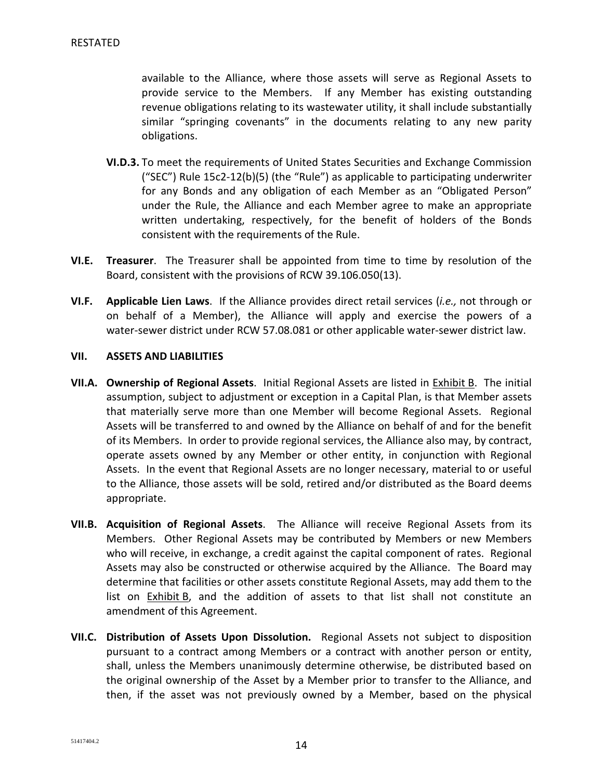available to the Alliance, where those assets will serve as Regional Assets to provide service to the Members. If any Member has existing outstanding revenue obligations relating to its wastewater utility, it shall include substantially similar "springing covenants" in the documents relating to any new parity obligations.

- **VI.D.3.** To meet the requirements of United States Securities and Exchange Commission ("SEC") Rule 15c2-12(b)(5) (the "Rule") as applicable to participating underwriter for any Bonds and any obligation of each Member as an "Obligated Person" under the Rule, the Alliance and each Member agree to make an appropriate written undertaking, respectively, for the benefit of holders of the Bonds consistent with the requirements of the Rule.
- **VI.E. Treasurer**. The Treasurer shall be appointed from time to time by resolution of the Board, consistent with the provisions of RCW 39.106.050(13).
- **VI.F. Applicable Lien Laws**. If the Alliance provides direct retail services (*i.e.,* not through or on behalf of a Member), the Alliance will apply and exercise the powers of a water-sewer district under RCW 57.08.081 or other applicable water-sewer district law.

### **VII. ASSETS AND LIABILITIES**

- **VII.A. Ownership of Regional Assets**. Initial Regional Assets are listed in Exhibit B. The initial assumption, subject to adjustment or exception in a Capital Plan, is that Member assets that materially serve more than one Member will become Regional Assets. Regional Assets will be transferred to and owned by the Alliance on behalf of and for the benefit of its Members. In order to provide regional services, the Alliance also may, by contract, operate assets owned by any Member or other entity, in conjunction with Regional Assets. In the event that Regional Assets are no longer necessary, material to or useful to the Alliance, those assets will be sold, retired and/or distributed as the Board deems appropriate.
- **VII.B. Acquisition of Regional Assets**. The Alliance will receive Regional Assets from its Members. Other Regional Assets may be contributed by Members or new Members who will receive, in exchange, a credit against the capital component of rates. Regional Assets may also be constructed or otherwise acquired by the Alliance. The Board may determine that facilities or other assets constitute Regional Assets, may add them to the list on Exhibit B, and the addition of assets to that list shall not constitute an amendment of this Agreement.
- **VII.C. Distribution of Assets Upon Dissolution.** Regional Assets not subject to disposition pursuant to a contract among Members or a contract with another person or entity, shall, unless the Members unanimously determine otherwise, be distributed based on the original ownership of the Asset by a Member prior to transfer to the Alliance, and then, if the asset was not previously owned by a Member, based on the physical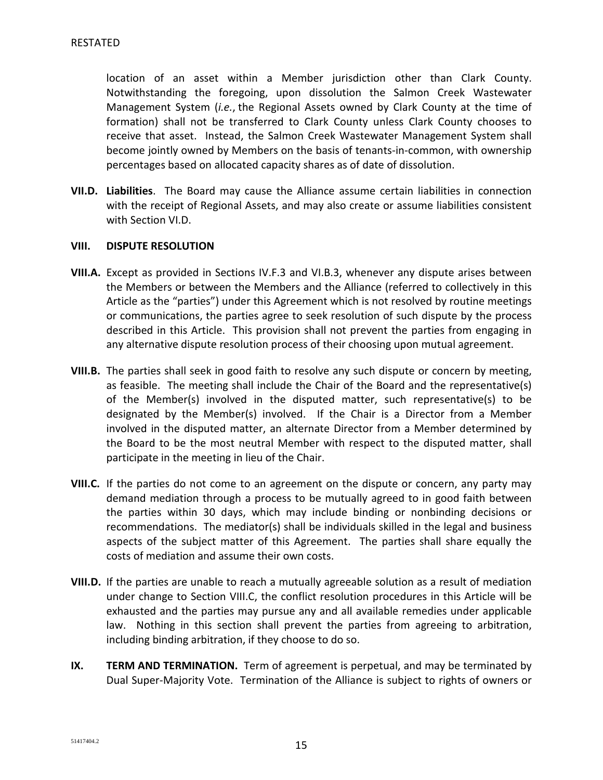location of an asset within a Member jurisdiction other than Clark County. Notwithstanding the foregoing, upon dissolution the Salmon Creek Wastewater Management System (*i.e.*, the Regional Assets owned by Clark County at the time of formation) shall not be transferred to Clark County unless Clark County chooses to receive that asset. Instead, the Salmon Creek Wastewater Management System shall become jointly owned by Members on the basis of tenants-in-common, with ownership percentages based on allocated capacity shares as of date of dissolution.

**VII.D. Liabilities**. The Board may cause the Alliance assume certain liabilities in connection with the receipt of Regional Assets, and may also create or assume liabilities consistent with Section VI.D.

## **VIII. DISPUTE RESOLUTION**

- **VIII.A.** Except as provided in Sections IV.F.3 and VI.B.3, whenever any dispute arises between the Members or between the Members and the Alliance (referred to collectively in this Article as the "parties") under this Agreement which is not resolved by routine meetings or communications, the parties agree to seek resolution of such dispute by the process described in this Article. This provision shall not prevent the parties from engaging in any alternative dispute resolution process of their choosing upon mutual agreement.
- **VIII.B.** The parties shall seek in good faith to resolve any such dispute or concern by meeting, as feasible. The meeting shall include the Chair of the Board and the representative(s) of the Member(s) involved in the disputed matter, such representative(s) to be designated by the Member(s) involved. If the Chair is a Director from a Member involved in the disputed matter, an alternate Director from a Member determined by the Board to be the most neutral Member with respect to the disputed matter, shall participate in the meeting in lieu of the Chair.
- **VIII.C.** If the parties do not come to an agreement on the dispute or concern, any party may demand mediation through a process to be mutually agreed to in good faith between the parties within 30 days, which may include binding or nonbinding decisions or recommendations. The mediator(s) shall be individuals skilled in the legal and business aspects of the subject matter of this Agreement. The parties shall share equally the costs of mediation and assume their own costs.
- **VIII.D.** If the parties are unable to reach a mutually agreeable solution as a result of mediation under change to Section VIII.C, the conflict resolution procedures in this Article will be exhausted and the parties may pursue any and all available remedies under applicable law. Nothing in this section shall prevent the parties from agreeing to arbitration, including binding arbitration, if they choose to do so.
- **IX. TERM AND TERMINATION.** Term of agreement is perpetual, and may be terminated by Dual Super-Majority Vote. Termination of the Alliance is subject to rights of owners or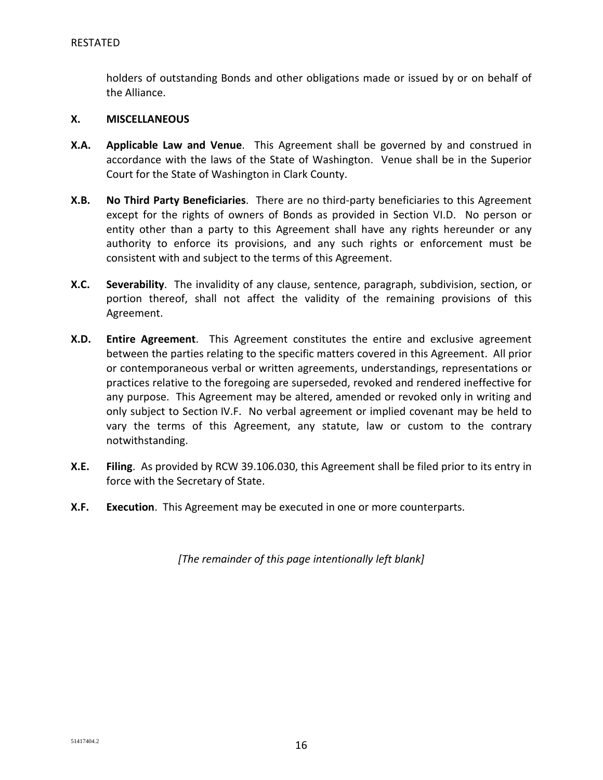holders of outstanding Bonds and other obligations made or issued by or on behalf of the Alliance.

## **X. MISCELLANEOUS**

- **X.A. Applicable Law and Venue**. This Agreement shall be governed by and construed in accordance with the laws of the State of Washington. Venue shall be in the Superior Court for the State of Washington in Clark County.
- **X.B. No Third Party Beneficiaries**. There are no third-party beneficiaries to this Agreement except for the rights of owners of Bonds as provided in Section VI.D. No person or entity other than a party to this Agreement shall have any rights hereunder or any authority to enforce its provisions, and any such rights or enforcement must be consistent with and subject to the terms of this Agreement.
- **X.C. Severability**. The invalidity of any clause, sentence, paragraph, subdivision, section, or portion thereof, shall not affect the validity of the remaining provisions of this Agreement.
- **X.D. Entire Agreement**. This Agreement constitutes the entire and exclusive agreement between the parties relating to the specific matters covered in this Agreement. All prior or contemporaneous verbal or written agreements, understandings, representations or practices relative to the foregoing are superseded, revoked and rendered ineffective for any purpose. This Agreement may be altered, amended or revoked only in writing and only subject to Section IV.F. No verbal agreement or implied covenant may be held to vary the terms of this Agreement, any statute, law or custom to the contrary notwithstanding.
- **X.E. Filing**. As provided by RCW 39.106.030, this Agreement shall be filed prior to its entry in force with the Secretary of State.
- **X.F. Execution**. This Agreement may be executed in one or more counterparts.

*[The remainder of this page intentionally left blank]*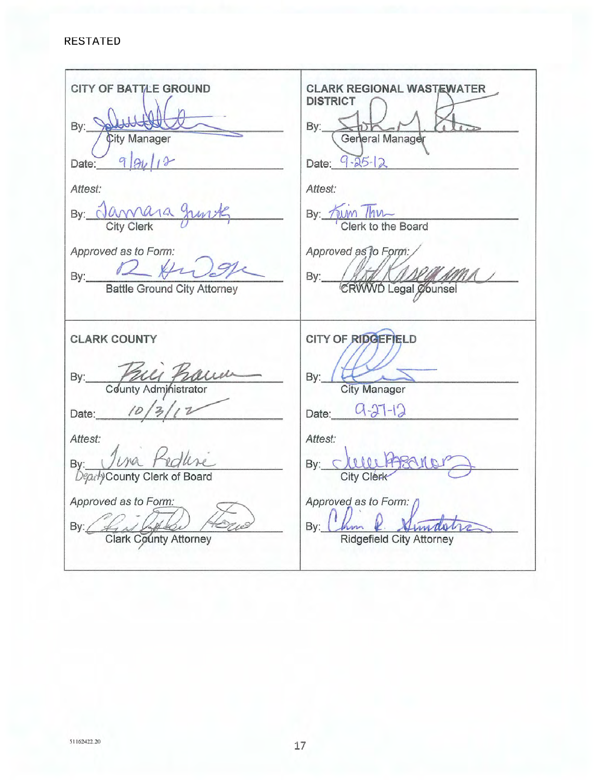### **RESTATED**

| <b>CITY OF BATTLE GROUND</b><br>By: Solltette<br><b>City Manager</b><br>Date: $9 94 13$<br>Attest:<br>By: Jamara Junk<br>Approved as to Form:<br>By: Battle Ground City Attorney           | <b>CLARK REGIONAL WASTEWATER</b><br><b>DISTRICT</b><br>General Manager<br>By:<br>Date: $9 - 25 - 12$<br>Attest:<br>By: Tum This<br>Clerk to the Board<br>Approved as to Form:<br>By: MAR A ALLACION       |
|--------------------------------------------------------------------------------------------------------------------------------------------------------------------------------------------|-----------------------------------------------------------------------------------------------------------------------------------------------------------------------------------------------------------|
| <b>CLARK COUNTY</b><br>By: Paul Paul<br>Date: $10/3/12$<br>Attest:<br>By: <i>Juna Pedline</i><br><i>Deputy</i> County Clerk of Board<br>Approved as to Form:<br>By: Colark County Attorney | CITY OF RIDGEFIELD<br>By:<br><b>City Manager</b><br>Date: $9-37-12$<br>Attest:<br>By: clear Assancer<br>City Clérk<br>Approved as to Form: ()<br>2. Similar<br>By: Chm<br><b>Ridgefield City Attorney</b> |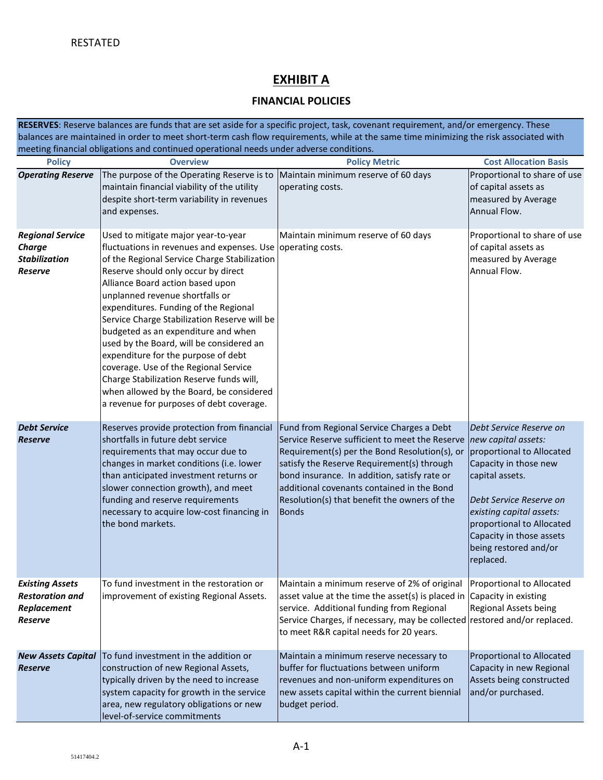# **EXHIBIT A**

## **FINANCIAL POLICIES**

**RESERVES**: Reserve balances are funds that are set aside for a specific project, task, covenant requirement, and/or emergency. These balances are maintained in order to meet short-term cash flow requirements, while at the same time minimizing the risk associated with meeting financial obligations and continued operational needs under adverse conditions.

| <b>Policy</b>                                                                      | <b>Overview</b>                                                                                                                                                                                                                                                                                                                                                                                                                                                                                                                                                                                                                                                  | <b>Policy Metric</b>                                                                                                                                                                                                                                                                                                                                     | <b>Cost Allocation Basis</b>                                                                                                                                                                                                                                                  |
|------------------------------------------------------------------------------------|------------------------------------------------------------------------------------------------------------------------------------------------------------------------------------------------------------------------------------------------------------------------------------------------------------------------------------------------------------------------------------------------------------------------------------------------------------------------------------------------------------------------------------------------------------------------------------------------------------------------------------------------------------------|----------------------------------------------------------------------------------------------------------------------------------------------------------------------------------------------------------------------------------------------------------------------------------------------------------------------------------------------------------|-------------------------------------------------------------------------------------------------------------------------------------------------------------------------------------------------------------------------------------------------------------------------------|
| <b>Operating Reserve</b>                                                           | The purpose of the Operating Reserve is to<br>maintain financial viability of the utility<br>despite short-term variability in revenues<br>and expenses.                                                                                                                                                                                                                                                                                                                                                                                                                                                                                                         | Maintain minimum reserve of 60 days<br>operating costs.                                                                                                                                                                                                                                                                                                  | Proportional to share of use<br>of capital assets as<br>measured by Average<br>Annual Flow.                                                                                                                                                                                   |
| <b>Regional Service</b><br><b>Charge</b><br><b>Stabilization</b><br><b>Reserve</b> | Used to mitigate major year-to-year<br>fluctuations in revenues and expenses. Use operating costs.<br>of the Regional Service Charge Stabilization<br>Reserve should only occur by direct<br>Alliance Board action based upon<br>unplanned revenue shortfalls or<br>expenditures. Funding of the Regional<br>Service Charge Stabilization Reserve will be<br>budgeted as an expenditure and when<br>used by the Board, will be considered an<br>expenditure for the purpose of debt<br>coverage. Use of the Regional Service<br>Charge Stabilization Reserve funds will,<br>when allowed by the Board, be considered<br>a revenue for purposes of debt coverage. | Maintain minimum reserve of 60 days                                                                                                                                                                                                                                                                                                                      | Proportional to share of use<br>of capital assets as<br>measured by Average<br>Annual Flow.                                                                                                                                                                                   |
| <b>Debt Service</b><br><b>Reserve</b>                                              | Reserves provide protection from financial<br>shortfalls in future debt service<br>requirements that may occur due to<br>changes in market conditions (i.e. lower<br>than anticipated investment returns or<br>slower connection growth), and meet<br>funding and reserve requirements<br>necessary to acquire low-cost financing in<br>the bond markets.                                                                                                                                                                                                                                                                                                        | Fund from Regional Service Charges a Debt<br>Service Reserve sufficient to meet the Reserve<br>Requirement(s) per the Bond Resolution(s), or<br>satisfy the Reserve Requirement(s) through<br>bond insurance. In addition, satisfy rate or<br>additional covenants contained in the Bond<br>Resolution(s) that benefit the owners of the<br><b>Bonds</b> | Debt Service Reserve on<br>new capital assets:<br>proportional to Allocated<br>Capacity in those new<br>capital assets.<br>Debt Service Reserve on<br>existing capital assets:<br>proportional to Allocated<br>Capacity in those assets<br>being restored and/or<br>replaced. |
| <b>Existing Assets</b><br><b>Restoration and</b><br>Replacement<br><b>Reserve</b>  | To fund investment in the restoration or<br>improvement of existing Regional Assets.                                                                                                                                                                                                                                                                                                                                                                                                                                                                                                                                                                             | Maintain a minimum reserve of 2% of original Proportional to Allocated<br>asset value at the time the asset(s) is placed in Capacity in existing<br>service. Additional funding from Regional<br>Service Charges, if necessary, may be collected restored and/or replaced.<br>to meet R&R capital needs for 20 years.                                    | Regional Assets being                                                                                                                                                                                                                                                         |
| <b>New Assets Capital</b><br><b>Reserve</b>                                        | To fund investment in the addition or<br>construction of new Regional Assets,<br>typically driven by the need to increase<br>system capacity for growth in the service<br>area, new regulatory obligations or new<br>level-of-service commitments                                                                                                                                                                                                                                                                                                                                                                                                                | Maintain a minimum reserve necessary to<br>buffer for fluctuations between uniform<br>revenues and non-uniform expenditures on<br>new assets capital within the current biennial<br>budget period.                                                                                                                                                       | <b>Proportional to Allocated</b><br>Capacity in new Regional<br>Assets being constructed<br>and/or purchased.                                                                                                                                                                 |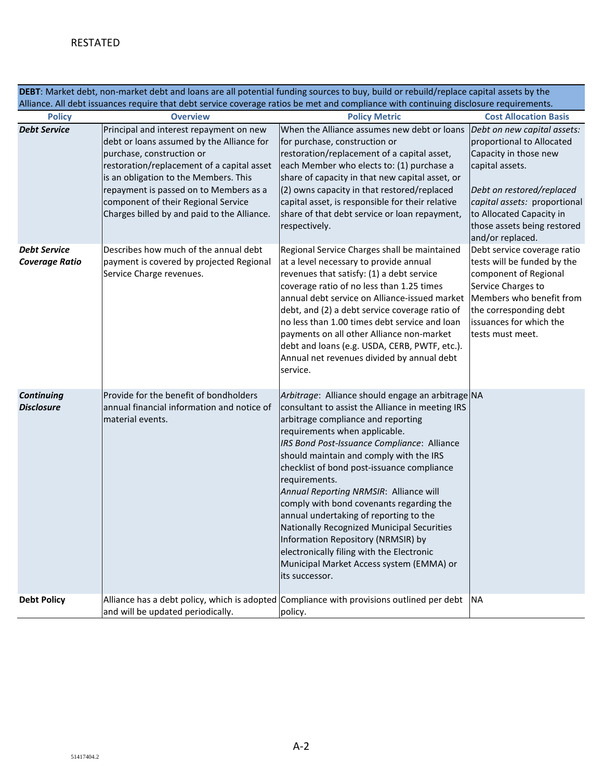**DEBT**: Market debt, non-market debt and loans are all potential funding sources to buy, build or rebuild/replace capital assets by the Alliance. All debt issuances require that debt service coverage ratios be met and compliance with continuing disclosure requirements.

| <b>Policy</b>                                | <b>Overview</b>                                                                                                                                                                                                                                                                                                                          | <b>Policy Metric</b>                                                                                                                                                                                                                                                                                                                                                                                                                                                                                                                                                                                                                                                 | <b>Cost Allocation Basis</b>                                                                                                                                                                                                                     |
|----------------------------------------------|------------------------------------------------------------------------------------------------------------------------------------------------------------------------------------------------------------------------------------------------------------------------------------------------------------------------------------------|----------------------------------------------------------------------------------------------------------------------------------------------------------------------------------------------------------------------------------------------------------------------------------------------------------------------------------------------------------------------------------------------------------------------------------------------------------------------------------------------------------------------------------------------------------------------------------------------------------------------------------------------------------------------|--------------------------------------------------------------------------------------------------------------------------------------------------------------------------------------------------------------------------------------------------|
| <b>Debt Service</b>                          | Principal and interest repayment on new<br>debt or loans assumed by the Alliance for<br>purchase, construction or<br>restoration/replacement of a capital asset<br>is an obligation to the Members. This<br>repayment is passed on to Members as a<br>component of their Regional Service<br>Charges billed by and paid to the Alliance. | When the Alliance assumes new debt or loans<br>for purchase, construction or<br>restoration/replacement of a capital asset,<br>each Member who elects to: (1) purchase a<br>share of capacity in that new capital asset, or<br>(2) owns capacity in that restored/replaced<br>capital asset, is responsible for their relative<br>share of that debt service or loan repayment,<br>respectively.                                                                                                                                                                                                                                                                     | Debt on new capital assets:<br>proportional to Allocated<br>Capacity in those new<br>capital assets.<br>Debt on restored/replaced<br>capital assets: proportional<br>to Allocated Capacity in<br>those assets being restored<br>and/or replaced. |
| <b>Debt Service</b><br><b>Coverage Ratio</b> | Describes how much of the annual debt<br>payment is covered by projected Regional<br>Service Charge revenues.                                                                                                                                                                                                                            | Regional Service Charges shall be maintained<br>at a level necessary to provide annual<br>revenues that satisfy: (1) a debt service<br>coverage ratio of no less than 1.25 times<br>annual debt service on Alliance-issued market<br>debt, and (2) a debt service coverage ratio of<br>no less than 1.00 times debt service and loan<br>payments on all other Alliance non-market<br>debt and loans (e.g. USDA, CERB, PWTF, etc.).<br>Annual net revenues divided by annual debt<br>service.                                                                                                                                                                         | Debt service coverage ratio<br>tests will be funded by the<br>component of Regional<br>Service Charges to<br>Members who benefit from<br>the corresponding debt<br>issuances for which the<br>tests must meet.                                   |
| <b>Continuing</b><br><b>Disclosure</b>       | Provide for the benefit of bondholders<br>annual financial information and notice of<br>material events.                                                                                                                                                                                                                                 | Arbitrage: Alliance should engage an arbitrage NA<br>consultant to assist the Alliance in meeting IRS<br>arbitrage compliance and reporting<br>requirements when applicable.<br>IRS Bond Post-Issuance Compliance: Alliance<br>should maintain and comply with the IRS<br>checklist of bond post-issuance compliance<br>requirements.<br>Annual Reporting NRMSIR: Alliance will<br>comply with bond covenants regarding the<br>annual undertaking of reporting to the<br>Nationally Recognized Municipal Securities<br>Information Repository (NRMSIR) by<br>electronically filing with the Electronic<br>Municipal Market Access system (EMMA) or<br>its successor. |                                                                                                                                                                                                                                                  |
| <b>Debt Policy</b>                           | and will be updated periodically.                                                                                                                                                                                                                                                                                                        | Alliance has a debt policy, which is adopted Compliance with provisions outlined per debt<br>policy.                                                                                                                                                                                                                                                                                                                                                                                                                                                                                                                                                                 | <b>INA</b>                                                                                                                                                                                                                                       |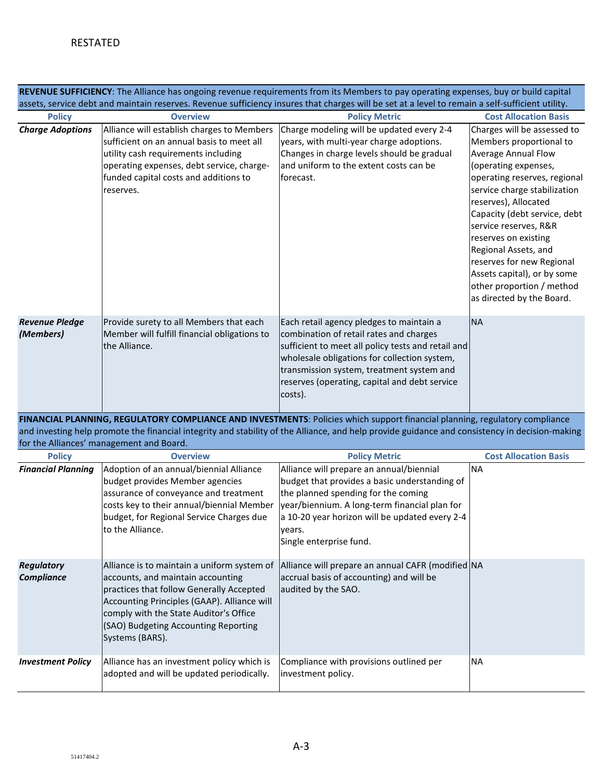| REVENUE SUFFICIENCY: The Alliance has ongoing revenue requirements from its Members to pay operating expenses, buy or build capital<br>assets, service debt and maintain reserves. Revenue sufficiency insures that charges will be set at a level to remain a self-sufficient utility. |                                                                                                                                                                                                                                                                                  |                                                                                                                                                                                                                                                                                                    |                                                                                                                                                                                                                                                                                                                                                                                                                                     |  |  |  |
|-----------------------------------------------------------------------------------------------------------------------------------------------------------------------------------------------------------------------------------------------------------------------------------------|----------------------------------------------------------------------------------------------------------------------------------------------------------------------------------------------------------------------------------------------------------------------------------|----------------------------------------------------------------------------------------------------------------------------------------------------------------------------------------------------------------------------------------------------------------------------------------------------|-------------------------------------------------------------------------------------------------------------------------------------------------------------------------------------------------------------------------------------------------------------------------------------------------------------------------------------------------------------------------------------------------------------------------------------|--|--|--|
| <b>Policy</b>                                                                                                                                                                                                                                                                           | <b>Overview</b>                                                                                                                                                                                                                                                                  | <b>Policy Metric</b>                                                                                                                                                                                                                                                                               | <b>Cost Allocation Basis</b>                                                                                                                                                                                                                                                                                                                                                                                                        |  |  |  |
| <b>Charge Adoptions</b>                                                                                                                                                                                                                                                                 | Alliance will establish charges to Members<br>sufficient on an annual basis to meet all<br>utility cash requirements including<br>operating expenses, debt service, charge-<br>funded capital costs and additions to<br>reserves.                                                | Charge modeling will be updated every 2-4<br>years, with multi-year charge adoptions.<br>Changes in charge levels should be gradual<br>and uniform to the extent costs can be<br>forecast.                                                                                                         | Charges will be assessed to<br>Members proportional to<br><b>Average Annual Flow</b><br>(operating expenses,<br>operating reserves, regional<br>service charge stabilization<br>reserves), Allocated<br>Capacity (debt service, debt<br>service reserves, R&R<br>reserves on existing<br>Regional Assets, and<br>reserves for new Regional<br>Assets capital), or by some<br>other proportion / method<br>as directed by the Board. |  |  |  |
| <b>Revenue Pledge</b><br>(Members)                                                                                                                                                                                                                                                      | Provide surety to all Members that each<br>Member will fulfill financial obligations to<br>the Alliance.                                                                                                                                                                         | Each retail agency pledges to maintain a<br>combination of retail rates and charges<br>sufficient to meet all policy tests and retail and<br>wholesale obligations for collection system,<br>transmission system, treatment system and<br>reserves (operating, capital and debt service<br>costs). | <b>NA</b>                                                                                                                                                                                                                                                                                                                                                                                                                           |  |  |  |
|                                                                                                                                                                                                                                                                                         | for the Alliances' management and Board.                                                                                                                                                                                                                                         | FINANCIAL PLANNING, REGULATORY COMPLIANCE AND INVESTMENTS: Policies which support financial planning, regulatory compliance<br>and investing help promote the financial integrity and stability of the Alliance, and help provide guidance and consistency in decision-making                      |                                                                                                                                                                                                                                                                                                                                                                                                                                     |  |  |  |
| <b>Policy</b>                                                                                                                                                                                                                                                                           | <b>Overview</b>                                                                                                                                                                                                                                                                  | <b>Policy Metric</b>                                                                                                                                                                                                                                                                               | <b>Cost Allocation Basis</b>                                                                                                                                                                                                                                                                                                                                                                                                        |  |  |  |
| <b>Financial Planning</b>                                                                                                                                                                                                                                                               | Adoption of an annual/biennial Alliance<br>budget provides Member agencies<br>assurance of conveyance and treatment<br>costs key to their annual/biennial Member<br>budget, for Regional Service Charges due<br>to the Alliance.                                                 | Alliance will prepare an annual/biennial<br>budget that provides a basic understanding of<br>the planned spending for the coming<br>year/biennium. A long-term financial plan for<br>a 10-20 year horizon will be updated every 2-4<br>years.<br>Single enterprise fund.                           | <b>NA</b>                                                                                                                                                                                                                                                                                                                                                                                                                           |  |  |  |
| <b>Regulatory</b><br>Compliance                                                                                                                                                                                                                                                         | Alliance is to maintain a uniform system of<br>accounts, and maintain accounting<br>practices that follow Generally Accepted<br>Accounting Principles (GAAP). Alliance will<br>comply with the State Auditor's Office<br>(SAO) Budgeting Accounting Reporting<br>Systems (BARS). | Alliance will prepare an annual CAFR (modified NA<br>accrual basis of accounting) and will be<br>audited by the SAO.                                                                                                                                                                               |                                                                                                                                                                                                                                                                                                                                                                                                                                     |  |  |  |
| <b>Investment Policy</b>                                                                                                                                                                                                                                                                | Alliance has an investment policy which is<br>adopted and will be updated periodically.                                                                                                                                                                                          | Compliance with provisions outlined per<br>investment policy.                                                                                                                                                                                                                                      | <b>NA</b>                                                                                                                                                                                                                                                                                                                                                                                                                           |  |  |  |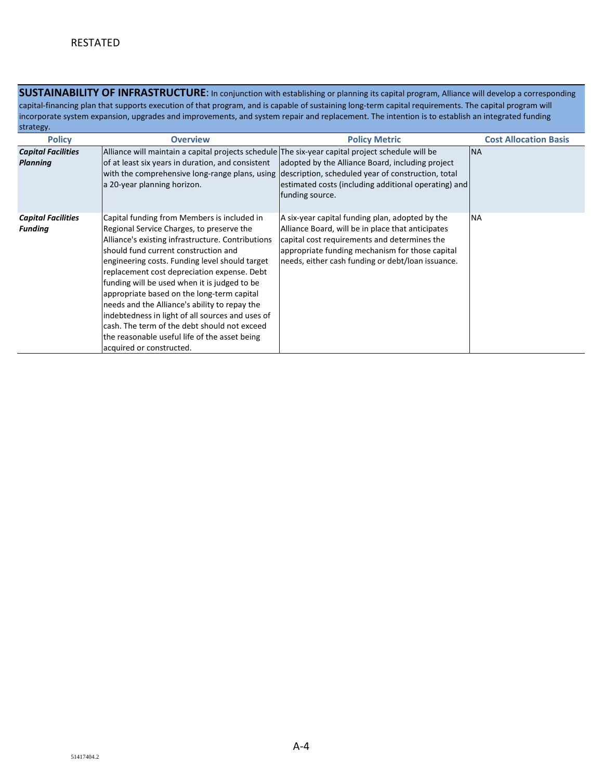**SUSTAINABILITY OF INFRASTRUCTURE:** In conjunction with establishing or planning its capital program, Alliance will develop a corresponding capital-financing plan that supports execution of that program, and is capable of sustaining long-term capital requirements. The capital program will incorporate system expansion, upgrades and improvements, and system repair and replacement. The intention is to establish an integrated funding strategy.

| <b>Policy</b>                                | <b>Overview</b>                                                                                                                                                                                                                                                                                                                                                                                                                                                                                                                                                                                                        | <b>Policy Metric</b>                                                                                                                                                                                                                                         | <b>Cost Allocation Basis</b> |
|----------------------------------------------|------------------------------------------------------------------------------------------------------------------------------------------------------------------------------------------------------------------------------------------------------------------------------------------------------------------------------------------------------------------------------------------------------------------------------------------------------------------------------------------------------------------------------------------------------------------------------------------------------------------------|--------------------------------------------------------------------------------------------------------------------------------------------------------------------------------------------------------------------------------------------------------------|------------------------------|
| <b>Capital Facilities</b><br><b>Planning</b> | Alliance will maintain a capital projects schedule The six-year capital project schedule will be<br>of at least six years in duration, and consistent<br>a 20-year planning horizon.                                                                                                                                                                                                                                                                                                                                                                                                                                   | adopted by the Alliance Board, including project<br>with the comprehensive long-range plans, using description, scheduled year of construction, total<br>estimated costs (including additional operating) and<br>funding source.                             | <b>NA</b>                    |
| <b>Capital Facilities</b><br><b>Funding</b>  | Capital funding from Members is included in<br>Regional Service Charges, to preserve the<br>Alliance's existing infrastructure. Contributions<br>should fund current construction and<br>engineering costs. Funding level should target<br>replacement cost depreciation expense. Debt<br>funding will be used when it is judged to be<br>appropriate based on the long-term capital<br>needs and the Alliance's ability to repay the<br>indebtedness in light of all sources and uses of<br>cash. The term of the debt should not exceed<br>the reasonable useful life of the asset being<br>acquired or constructed. | A six-year capital funding plan, adopted by the<br>Alliance Board, will be in place that anticipates<br>capital cost requirements and determines the<br>appropriate funding mechanism for those capital<br>needs, either cash funding or debt/loan issuance. | <b>NA</b>                    |